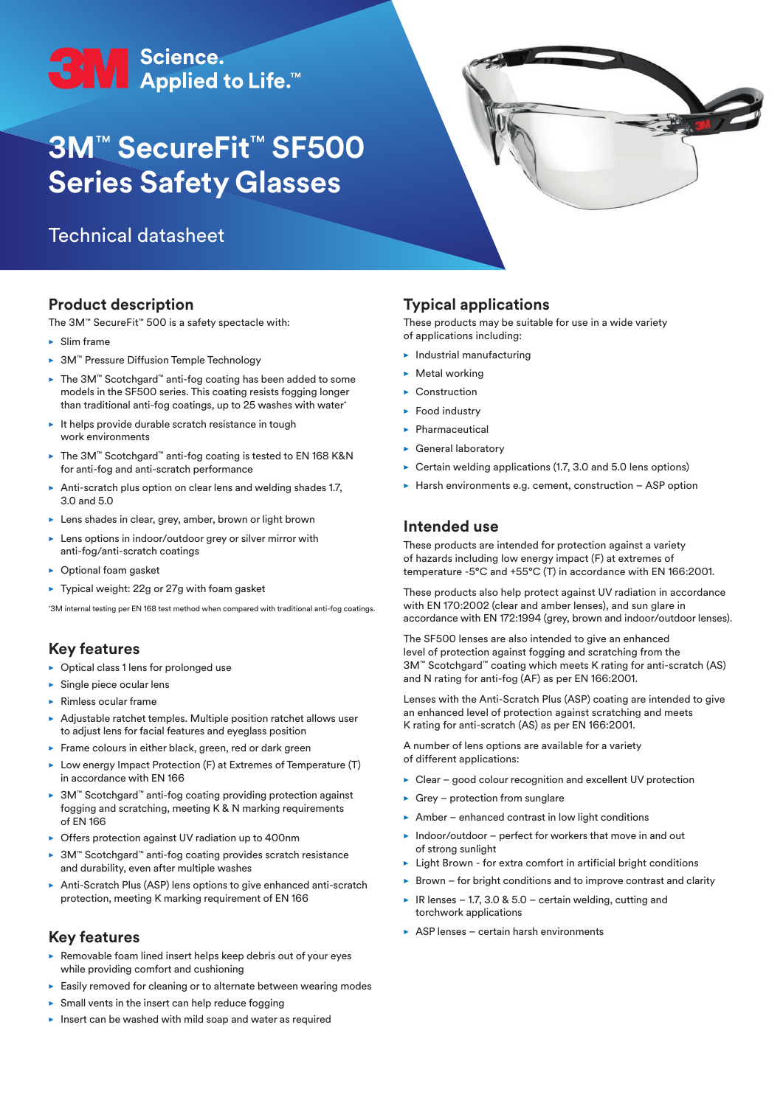

# **3M**™ **SecureFit**™ **SF500 Series Safety Glasses**

# Technical datasheet



The 3M™ SecureFit™ 500 is a safety spectacle with:

- $\blacktriangleright$  Slim frame
- ▶ 3M™ Pressure Diffusion Temple Technology
- ► The 3M™ Scotchgard™ anti-fog coating has been added to some models in the SF500 series. This coating resists fogging longer than traditional anti-fog coatings, up to 25 washes with water\*
- $\blacktriangleright$  It helps provide durable scratch resistance in tough work environments
- The 3M™ Scotchgard™ anti-fog coating is tested to EN 168 K&N for anti-fog and anti-scratch performance
- Anti-scratch plus option on clear lens and welding shades 1.7, 3.0 and 5.0
- $\blacktriangleright$  Lens shades in clear, grey, amber, brown or light brown
- $\blacktriangleright$  Lens options in indoor/outdoor grey or silver mirror with anti-fog/anti-scratch coatings
- $\triangleright$  Optional foam gasket
- $\blacktriangleright$  Typical weight: 22g or 27g with foam gasket

\* 3M internal testing per EN 168 test method when compared with traditional anti-fog coatings.

#### **Key features**

- $\triangleright$  Optical class 1 lens for prolonged use
- $\blacktriangleright$  Single piece ocular lens
- $\blacktriangleright$  Rimless ocular frame
- $\blacktriangleright$  Adjustable ratchet temples. Multiple position ratchet allows user to adjust lens for facial features and eyeglass position
- $\blacktriangleright$  Frame colours in either black, green, red or dark green
- $\blacktriangleright$  Low energy Impact Protection (F) at Extremes of Temperature (T) in accordance with EN 166
- 3M™ Scotchgard™ anti-fog coating providing protection against fogging and scratching, meeting K & N marking requirements of EN 166
- $\triangleright$  Offers protection against UV radiation up to 400nm
- 3M™ Scotchgard™ anti-fog coating provides scratch resistance and durability, even after multiple washes
- Anti-Scratch Plus (ASP) lens options to give enhanced anti-scratch protection, meeting K marking requirement of EN 166

#### **Key features**

- $\blacktriangleright$  Removable foam lined insert helps keep debris out of your eyes while providing comfort and cushioning
- $\blacktriangleright$  Easily removed for cleaning or to alternate between wearing modes
- $\triangleright$  Small vents in the insert can help reduce fogging
- $\blacktriangleright$  Insert can be washed with mild soap and water as required

## **Typical applications**

These products may be suitable for use in a wide variety of applications including:

- $\blacktriangleright$  Industrial manufacturing
- $\blacktriangleright$  Metal working
- $\blacktriangleright$  Construction
- $\blacktriangleright$  Food industry
- $\blacktriangleright$  Pharmaceutical
- $\blacktriangleright$  General laboratory
- $\triangleright$  Certain welding applications (1.7, 3.0 and 5.0 lens options)
- $\blacktriangleright$  Harsh environments e.g. cement, construction ASP option

#### **Intended use**

These products are intended for protection against a variety of hazards including low energy impact (F) at extremes of temperature -5°C and +55°C (T) in accordance with EN 166:2001.

These products also help protect against UV radiation in accordance with EN 170:2002 (clear and amber lenses), and sun glare in accordance with EN 172:1994 (grey, brown and indoor/outdoor lenses).

The SF500 lenses are also intended to give an enhanced level of protection against fogging and scratching from the 3M™ Scotchgard™ coating which meets K rating for anti-scratch (AS) and N rating for anti-fog (AF) as per EN 166:2001.

Lenses with the Anti-Scratch Plus (ASP) coating are intended to give an enhanced level of protection against scratching and meets K rating for anti-scratch (AS) as per EN 166:2001.

A number of lens options are available for a variety of different applications:

- $\triangleright$  Clear good colour recognition and excellent UV protection
- $\triangleright$  Grey protection from sunglare
- $\blacktriangleright$  Amber enhanced contrast in low light conditions
- $\blacktriangleright$  Indoor/outdoor perfect for workers that move in and out of strong sunlight
- ▶ Light Brown for extra comfort in artificial bright conditions
- $\triangleright$  Brown for bright conditions and to improve contrast and clarity
- R lenses 1.7, 3.0 & 5.0 certain welding, cutting and torchwork applications
- $\triangleright$  ASP lenses certain harsh environments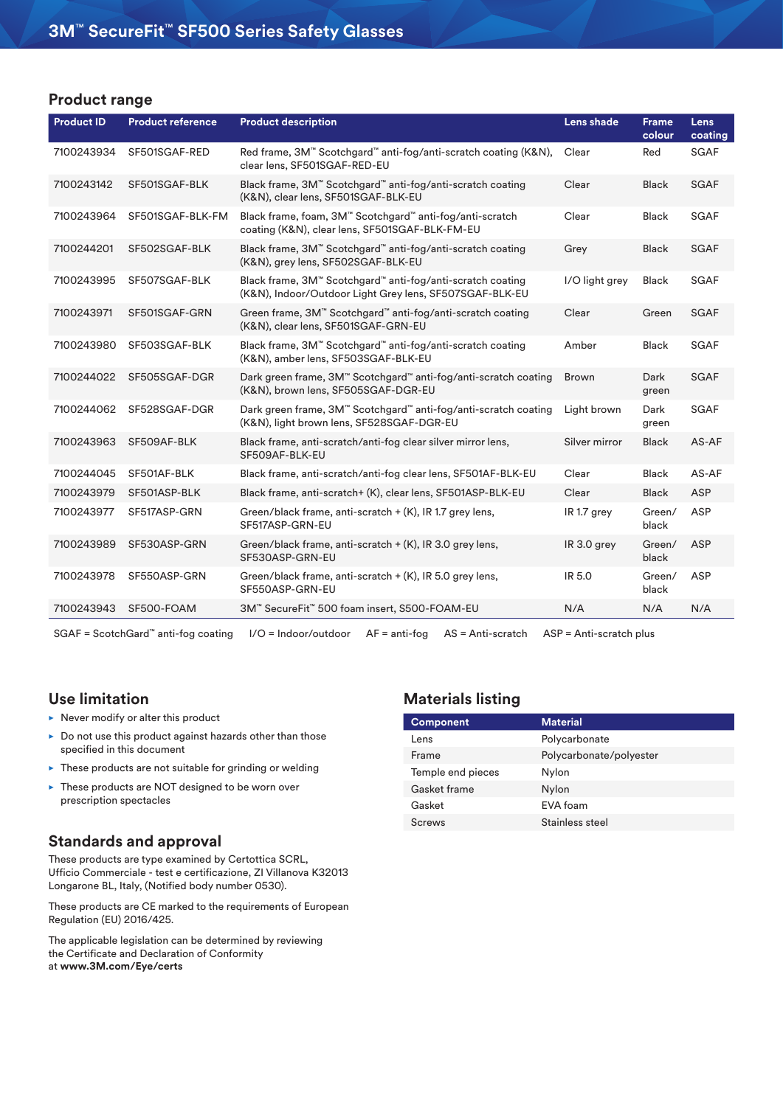#### **Product range**

| <b>Product ID</b> | <b>Product reference</b> | <b>Product description</b>                                                                                              | Lens shade     | <b>Frame</b><br>colour | <b>Lens</b><br>coating |
|-------------------|--------------------------|-------------------------------------------------------------------------------------------------------------------------|----------------|------------------------|------------------------|
| 7100243934        | SF501SGAF-RED            | Red frame, 3M <sup>™</sup> Scotchgard <sup>™</sup> anti-fog/anti-scratch coating (K&N),<br>clear lens, SF501SGAF-RED-EU | Clear          | Red                    | <b>SGAF</b>            |
| 7100243142        | SF501SGAF-BLK            | Black frame, 3M™ Scotchgard™ anti-fog/anti-scratch coating<br>(K&N), clear lens, SF501SGAF-BLK-EU                       | Clear          | <b>Black</b>           | <b>SGAF</b>            |
| 7100243964        | SF501SGAF-BLK-FM         | Black frame, foam, 3M™ Scotchgard™ anti-fog/anti-scratch<br>coating (K&N), clear lens, SF501SGAF-BLK-FM-EU              | Clear          | Black                  | <b>SGAF</b>            |
| 7100244201        | SF502SGAF-BLK            | Black frame, 3M <sup>™</sup> Scotchgard™ anti-fog/anti-scratch coating<br>(K&N), grey lens, SF502SGAF-BLK-EU            | Grey           | <b>Black</b>           | SGAF                   |
| 7100243995        | SF507SGAF-BLK            | Black frame, 3M™ Scotchgard™ anti-fog/anti-scratch coating<br>(K&N), Indoor/Outdoor Light Grey lens, SF507SGAF-BLK-EU   | I/O light grey | Black                  | <b>SGAF</b>            |
| 7100243971        | SF501SGAF-GRN            | Green frame, 3M™ Scotchgard™ anti-fog/anti-scratch coating<br>(K&N), clear lens, SF501SGAF-GRN-EU                       | Clear          | Green                  | <b>SGAF</b>            |
| 7100243980        | SF503SGAF-BLK            | Black frame, 3M™ Scotchgard™ anti-fog/anti-scratch coating<br>(K&N), amber lens, SF503SGAF-BLK-EU                       | Amber          | <b>Black</b>           | <b>SGAF</b>            |
| 7100244022        | SF505SGAF-DGR            | Dark green frame, 3M™ Scotchgard™ anti-fog/anti-scratch coating<br>(K&N), brown lens, SF505SGAF-DGR-EU                  | <b>Brown</b>   | Dark<br>green          | <b>SGAF</b>            |
| 7100244062        | SF528SGAF-DGR            | Dark green frame, 3M™ Scotchgard™ anti-fog/anti-scratch coating<br>(K&N), light brown lens, SF528SGAF-DGR-EU            | Light brown    | Dark<br>green          | <b>SGAF</b>            |
| 7100243963        | SF509AF-BLK              | Black frame, anti-scratch/anti-fog clear silver mirror lens,<br>SF509AF-BLK-EU                                          | Silver mirror  | <b>Black</b>           | AS-AF                  |
| 7100244045        | SF501AF-BLK              | Black frame, anti-scratch/anti-fog clear lens, SF501AF-BLK-EU                                                           | Clear          | <b>Black</b>           | AS-AF                  |
| 7100243979        | SF501ASP-BLK             | Black frame, anti-scratch+ (K), clear lens, SF501ASP-BLK-EU                                                             | Clear          | <b>Black</b>           | <b>ASP</b>             |
| 7100243977        | SF517ASP-GRN             | Green/black frame, anti-scratch + (K), IR 1.7 grey lens,<br>SF517ASP-GRN-EU                                             | IR 1.7 grey    | Green/<br>black        | ASP                    |
| 7100243989        | SF530ASP-GRN             | Green/black frame, anti-scratch + (K), IR 3.0 grey lens,<br>SF530ASP-GRN-EU                                             | IR 3.0 grey    | Green/<br>black        | ASP                    |
| 7100243978        | SF550ASP-GRN             | Green/black frame, anti-scratch + (K), IR 5.0 grey lens,<br>SF550ASP-GRN-EU                                             | <b>IR 5.0</b>  | Green/<br>black        | ASP                    |
| 7100243943        | SF500-FOAM               | 3M™ SecureFit™ 500 foam insert, S500-FOAM-EU                                                                            | N/A            | N/A                    | N/A                    |

SGAF = ScotchGard™ anti-fog coating I/O = Indoor/outdoor AF = anti-fog AS = Anti-scratch ASP = Anti-scratch plus

#### **Use limitation**

- $\blacktriangleright$  Never modify or alter this product
- $\triangleright$  Do not use this product against hazards other than those specified in this document
- $\blacktriangleright$  These products are not suitable for grinding or welding
- $\triangleright$  These products are NOT designed to be worn over prescription spectacles

#### **Standards and approval**

These products are type examined by Certottica SCRL, Ufficio Commerciale - test e certificazione, ZI Villanova K32013 Longarone BL, Italy, (Notified body number 0530).

These products are CE marked to the requirements of European Regulation (EU) 2016/425.

The applicable legislation can be determined by reviewing the Certificate and Declaration of Conformity at **www.3M.com/Eye/certs**

## **Materials listing**

| <b>Component</b>  | <b>Material</b>         |  |  |
|-------------------|-------------------------|--|--|
| l ens             | Polycarbonate           |  |  |
| Frame             | Polycarbonate/polyester |  |  |
| Temple end pieces | Nylon                   |  |  |
| Gasket frame      | Nylon                   |  |  |
| Gasket            | EVA foam                |  |  |
| Screws            | Stainless steel         |  |  |